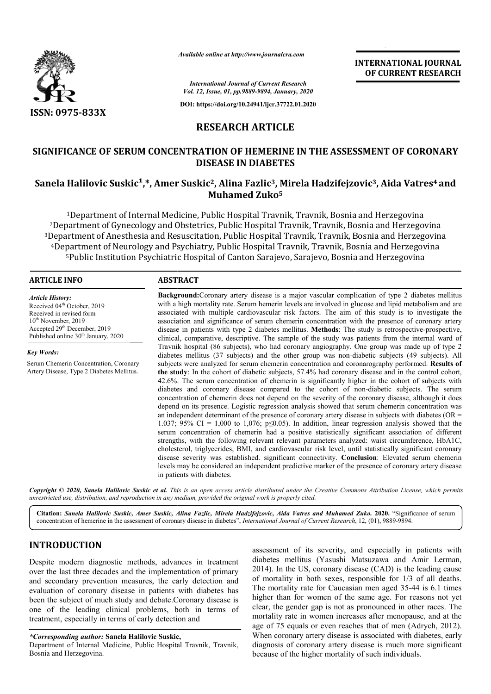

*Available online at http://www.journalcra.com*

**INTERNATIONAL JOURNAL OF CURRENT RESEARCH**

*International Journal of Current Research Vol. 12, Issue, 01, pp.9889-9894, January, 2020*

**DOI: https://doi.org/10.24941/ijcr.37722.01.2020**

# **RESEARCH ARTICLE**

# **SIGNIFICANCE OF SERUM CONCENTRATION OF HEMERINE IN THE ASSESSMENT OF CORONARY**  SIGNIFICANCE OF SERUM CONCENTRATION OF HEMERINE IN THE ASSESSMENT OF CORONARY<br>DISEASE IN DIABETES<br>Sanela Halilovic Suskic<sup>1</sup>,\*, Amer Suskic<sup>2</sup>, Alina Fazlic<sup>3</sup>, Mirela Hadzifejzovic<sup>3</sup>, Aida Vatres<sup>4</sup> and **DISEASE IN DIABETES**

# **Muhamed Zuko5**

1Department of Internal Medicine, Public Hospital Travnik, Travnik, Bosnia and Herzegovina 2Department of Gynecology and Obstetrics, Public Hospital Travnik, Travnik, Bosnia and Herzegovina 3Department of Anesthesia and Resuscitation, Public Hospital Travnik, Travnik, Bosnia and Herzegovina 4Department of Neurology and Psychiatry, Public Hospital Travnik, Travnik, Bosnia and Herzegovina <sup>5</sup>Public Institution Psychiatric Hospital of Canton Saraievo, Saraievo, Bosnia and Herzegovina <sup>1</sup>Department of Internal Medicine, Public Hospital Travnik, Travnik, Bosnia and Herzegovina<br>Department of Gynecology and Obstetrics, Public Hospital Travnik, Travnik, Bosnia and Herzego<br>epartment of Anesthesia and Resusci

#### **ARTICLE INFO ABSTRACT**

*Article History:* Received 04<sup>th</sup> October, 2019 Received in revised form 10<sup>th</sup> November, 2019 Accepted 29<sup>th</sup> December, 2019 Published online  $30<sup>th</sup>$  January, 2020

*Key Words:*

Serum Chemerin Concentration, Coronary Artery Disease, Type 2 Diabetes Mellitus.

with a high mortality rate. Serum hemerin levels are involved in glucose and lipid metabolism and are associated with multiple cardiovascular risk factors. The aim of this study is to investigate the association and significance of serum chemerin concentration with the presence of coronary artery association and significance of serum chemerin concentration with the presence of coronary artery disease in patients with type 2 diabetes mellitus. **Methods**: The study is retrospective-prospective, clinical, comparative, descri descriptive. The sample of the study was patients from the internal ward of Travnik hospital (86 subjects), who had coronary angiography. One group was made up of type 2 diabetes mellitus (37 subjects) and the other group was non-diabetic subjects (49 subjects). subjects were analyzed for serum chemerin concentration and coronarography performed. Results of **the study** : In the cohort of diabetic subjects, 57.4% had coronary disease and in the control cohort, 42.6%. The serum concentration of chemerin is signifi significantly higher in the cohort of subjects with diabetes and coronary disease compared to the cohort of non-diabetic subjects. The serum concentration of chemerin does not depend on the severity of the coronary disease, although it does depend on its presence. Logistic regression analysis showed that serum chemerin concentration was an independent determinant of the presence of coronary artery disease in subjects with diabetes (OR = 1.037; 95% CI = 1,000 to 1,076; p $\leq$ 0.05). In addition, linear regression analys serum concentration of chemerin had a positive statistically significant association of different strengths, with the following relevant relevant parameters analyzed: waist circumference, HbA1C, cholesterol, triglycerides, BMI, and cardiovascular risk level, until statistically significant coronary disease severity was established. significant connectivity. **Conclusion** levels may be considered an independent predictive marker of the presence of coronary artery disease in patients with diabetes. **Background:** Coronary artery disease is a major vascular complication of type 2 diabetes mellitus with a high mortality rate. Serum hemerin levels are involved in glucose and lipid metabolism and are associated with multi clinical, comparative, descriptive. The sample of the study was patients from the internal ward of<br>Travnik hospital (86 subjects), who had coronary angiography. One group was made up of type 2<br>diabetes mellitus (37 subject the study: In the cohort of diabetic subjects, 57.4% had coronary disease and in the control cohort, 42.6%. The serum concentration of chemerin is significantly higher in the cohort of subjects with diabetes and coronary d concentration of chemerin does not depend on the severity of the coronary disease, although it does depend on its presence. Logistic regression analysis showed that serum chemerin concentration was an independent determin serum concentration of chemerin had a positive statistically significant association of different<br>strengths, with the following relevant relevant parameters analyzed: waist circumference, HbA1C,<br>cholesterol, triglycerides,

**Background:** Coronary artery disease is a major vascular complication of type 2 diabetes mellitus

Copyright © 2020, Sanela Halilovic Suskic et al. This is an open access article distributed under the Creative Commons Attribution License, which permits *unrestricted use, distribution, and reproduction in any medium, provided the original work is properly cited.*

Citation: Sanela Halilovic Suskic, Amer Suskic, Alina Fazlic, Mirela Hadzifejzovic, Aida Vatres and Muhamed Zuko. 2020. "Significance of serum concentration of hemerine in the assessment of coronary disease in diabetes", *International Journal of Current Research*, 12, (01), 9889-9894.

# **INTRODUCTION**

Despite modern diagnostic methods, advances in treatment over the last three decades and the implementation of primary and secondary prevention measures, the early detection and evaluation of coronary disease in patients with diabetes has been the subject of much study and debate.Coronary disease is one of the leading clinical problems, both in terms of treatment, especially in terms of early detection and

*\*Corresponding author:* **Sanela Halilovic Suskic Suskic,**

Department of Internal Medicine, Public Hospital Travnik, Travnik, Bosnia and Herzegovina.

assessment of its severity, and especially in patients with diabetes mellitus (Yasushi Matsuzawa and Amir Lerman, 2014). In the US, coronary disease (CAD) is the leading cause of mortality in both sexes, responsible for 1/3 of all deaths. The mortality rate for Caucasian men aged 35-44 is 6.1 times higher than for women of the same age. For reasons not yet clear, the gender gap is not as pronounced in other races. The mortality rate in women increases after menopause, and at the age of 75 equals or even reaches that of men (Adrych, 2012). When coronary artery disease is associated with diabetes, early diagnosis of coronary artery disease is much more significant because of the higher mortality of such individuals . In the US, coronary disease (CAD) is the leading cause<br>ortality in both sexes, responsible for 1/3 of all deaths.<br>nortality rate for Caucasian men aged 35-44 is 6.1 times than for women of the same age. For reasons not yet<br>he gender gap is not as pronounced in other races. The<br>ty rate in women increases after menopause, and at the<br>75 equals or even reaches that of men (Adrych, 2012). coronary artery disease is associated with dissis of coronary artery disease is much more<br>e of the higher mortality of such individuals.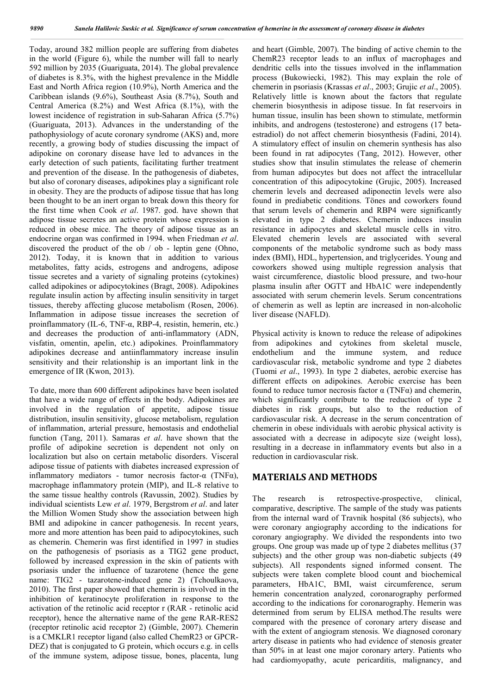Today, around 382 million people are suffering from diabetes in the world (Figure 6), while the number will fall to nearly 592 million by 2035 (Guariguata, 2014). The global prevalence of diabetes is 8.3%, with the highest prevalence in the Middle East and North Africa region (10.9%), North America and the Caribbean islands (9.6%), Southeast Asia (8.7%), South and Central America (8.2%) and West Africa (8.1%), with the lowest incidence of registration in sub-Saharan Africa (5.7%) (Guariguata, 2013). Advances in the understanding of the pathophysiology of acute coronary syndrome (AKS) and, more recently, a growing body of studies discussing the impact of adipokine on coronary disease have led to advances in the early detection of such patients, facilitating further treatment and prevention of the disease. In the pathogenesis of diabetes, but also of coronary diseases, adipokines play a significant role in obesity. They are the products of adipose tissue that has long been thought to be an inert organ to break down this theory for the first time when Cook *et al*. 1987. god. have shown that adipose tissue secretes an active protein whose expression is reduced in obese mice. The theory of adipose tissue as an endocrine organ was confirmed in 1994. when Friedman *et al*. discovered the product of the ob / ob - leptin gene (Ohno, 2012). Today, it is known that in addition to various metabolites, fatty acids, estrogens and androgens, adipose tissue secretes and a variety of signaling proteins (cytokines) called adipokines or adipocytokines (Bragt, 2008). Adipokines regulate insulin action by affecting insulin sensitivity in target tissues, thereby affecting glucose metabolism (Rosen, 2006). Inflammation in adipose tissue increases the secretion of proinflammatory (IL-6, TNF- $\alpha$ , RBP-4, resistin, hemerin, etc.) and decreases the production of anti-inflammatory (ADN, visfatin, omentin, apelin, etc.) adipokines. Proinflammatory adipokines decrease and antiinflammatory increase insulin sensitivity and their relationship is an important link in the emergence of IR (Kwon, 2013).

To date, more than 600 different adipokines have been isolated that have a wide range of effects in the body. Adipokines are involved in the regulation of appetite, adipose tissue distribution, insulin sensitivity, glucose metabolism, regulation of inflammation, arterial pressure, hemostasis and endothelial function (Tang, 2011). Samaras *et al*. have shown that the profile of adipokine secretion is dependent not only on localization but also on certain metabolic disorders. Visceral adipose tissue of patients with diabetes increased expression of inflammatory mediators - tumor necrosis factor-α (TNFα), macrophage inflammatory protein (MIP), and IL-8 relative to the same tissue healthy controls (Ravussin, 2002). Studies by individual scientists Lew *et al*. 1979, Bergstrom *et al*. and later the Million Women Study show the association between high BMI and adipokine in cancer pathogenesis. In recent years, more and more attention has been paid to adipocytokines, such as chemerin. Chemerin was first identified in 1997 in studies on the pathogenesis of psoriasis as a TIG2 gene product, followed by increased expression in the skin of patients with psoriasis under the influence of tazarotene (hence the gene name: TIG2 - tazarotene-induced gene 2) (Tchoulkaova, 2010). The first paper showed that chemerin is involved in the inhibition of keratinocyte proliferation in response to the activation of the retinolic acid receptor r (RAR - retinolic acid receptor), hence the alternative name of the gene RAR-RES2 (receptor retinolic acid receptor 2) (Gimble, 2007). Chemerin is a CMKLR1 receptor ligand (also called ChemR23 or GPCR-DEZ) that is conjugated to G protein, which occurs e.g. in cells of the immune system, adipose tissue, bones, placenta, lung and heart (Gimble, 2007). The binding of active chemin to the ChemR23 receptor leads to an influx of macrophages and dendritic cells into the tissues involved in the inflammation process (Bukowiecki, 1982). This may explain the role of chemerin in psoriasis (Krassas *et al*., 2003; Grujic *et al*., 2005). Relatively little is known about the factors that regulate chemerin biosynthesis in adipose tissue. In fat reservoirs in human tissue, insulin has been shown to stimulate, metformin inhibits, and androgens (testosterone) and estrogens (17 betaestradiol) do not affect chemerin biosynthesis (Fadini, 2014). A stimulatory effect of insulin on chemerin synthesis has also been found in rat adipocytes (Tang, 2012). However, other studies show that insulin stimulates the release of chemerin from human adipocytes but does not affect the intracellular concentration of this adipocytokine (Grujic, 2005). Increased chemerin levels and decreased adiponectin levels were also found in prediabetic conditions. Tönes and coworkers found that serum levels of chemerin and RBP4 were significantly elevated in type 2 diabetes. Chemerin induces insulin resistance in adipocytes and skeletal muscle cells in vitro. Elevated chemerin levels are associated with several components of the metabolic syndrome such as body mass index (BMI), HDL, hypertension, and triglycerides. Young and coworkers showed using multiple regression analysis that waist circumference, diastolic blood pressure, and two-hour plasma insulin after OGTT and HbA1C were independently associated with serum chemerin levels. Serum concentrations of chemerin as well as leptin are increased in non-alcoholic liver disease (NAFLD).

Physical activity is known to reduce the release of adipokines from adipokines and cytokines from skeletal muscle, endothelium and the immune system, and reduce cardiovascular risk, metabolic syndrome and type 2 diabetes (Tuomi *et al*., 1993). In type 2 diabetes, aerobic exercise has different effects on adipokines. Aerobic exercise has been found to reduce tumor necrosis factor α (TNFα) and chemerin, which significantly contribute to the reduction of type 2 diabetes in risk groups, but also to the reduction of cardiovascular risk. A decrease in the serum concentration of chemerin in obese individuals with aerobic physical activity is associated with a decrease in adipocyte size (weight loss), resulting in a decrease in inflammatory events but also in a reduction in cardiovascular risk.

# **MATERIALS AND METHODS**

The research is retrospective-prospective, clinical, comparative, descriptive. The sample of the study was patients from the internal ward of Travnik hospital (86 subjects), who were coronary angiography according to the indications for coronary angiography. We divided the respondents into two groups. One group was made up of type 2 diabetes mellitus (37 subjects) and the other group was non-diabetic subjects (49 subjects). All respondents signed informed consent. The subjects were taken complete blood count and biochemical parameters, HbA1C, BMI, waist circumference, serum hemerin concentration analyzed, coronarography performed according to the indications for coronarography. Hemerin was determined from serum by ELISA method.The results were compared with the presence of coronary artery disease and with the extent of angiogram stenosis. We diagnosed coronary artery disease in patients who had evidence of stenosis greater than 50% in at least one major coronary artery. Patients who had cardiomyopathy, acute pericarditis, malignancy, and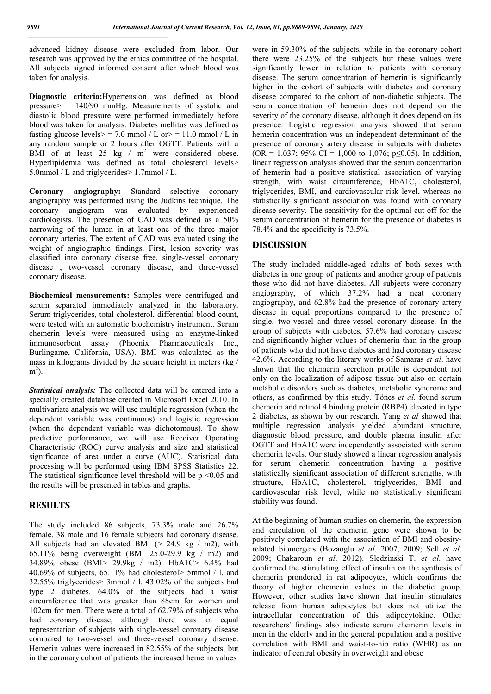advanced kidney disease were excluded from labor. Our research was approved by the ethics committee of the hospital. All subjects signed informed consent after which blood was taken for analysis.

**Diagnostic criteria:**Hypertension was defined as blood pressure $>$  = 140/90 mmHg. Measurements of systolic and diastolic blood pressure were performed immediately before blood was taken for analysis. Diabetes mellitus was defined as fasting glucose levels> = 7.0 mmol / L or> = 11.0 mmol / L in any random sample or 2 hours after OGTT. Patients with a BMI of at least  $25$  kg /  $m^2$  were considered obese. Hyperlipidemia was defined as total cholesterol levels> 5.0mmol / L and triglycerides> 1.7mmol / L.

**Coronary angiography:** Standard selective coronary angiography was performed using the Judkins technique. The coronary angiogram was evaluated by experienced cardiologists. The presence of CAD was defined as a 50% narrowing of the lumen in at least one of the three major coronary arteries. The extent of CAD was evaluated using the weight of angiographic findings. First, lesion severity was classified into coronary disease free, single-vessel coronary disease , two-vessel coronary disease, and three-vessel coronary disease.

**Biochemical measurements:** Samples were centrifuged and serum separated immediately analyzed in the laboratory. Serum triglycerides, total cholesterol, differential blood count, were tested with an automatic biochemistry instrument. Serum chemerin levels were measured using an enzyme-linked immunosorbent assay (Phoenix Pharmaceuticals Inc., Burlingame, California, USA). BMI was calculated as the mass in kilograms divided by the square height in meters (kg /  $m^2$ ).

*Statistical analysis:* The collected data will be entered into a specially created database created in Microsoft Excel 2010. In multivariate analysis we will use multiple regression (when the dependent variable was continuous) and logistic regression (when the dependent variable was dichotomous). To show predictive performance, we will use Receiver Operating Characteristic (ROC) curve analysis and size and statistical significance of area under a curve (AUC). Statistical data processing will be performed using IBM SPSS Statistics 22. The statistical significance level threshold will be  $p \le 0.05$  and the results will be presented in tables and graphs.

# **RESULTS**

The study included 86 subjects, 73.3% male and 26.7% female. 38 male and 16 female subjects had coronary disease. All subjects had an elevated BMI ( $> 24.9$  kg  $/$  m2), with 65.11% being overweight (BMI 25.0-29.9 kg  $/$  m2) and 34.89% obese (BMI> 29.9kg / m2). HbA1C> 6.4% had 40.69% of subjects, 65.11% had cholesterol> 5mmol / l, and 32.55% triglycerides> 3mmol / l. 43.02% of the subjects had type 2 diabetes. 64.0% of the subjects had a waist circumference that was greater than 88cm for women and 102cm for men. There were a total of 62.79% of subjects who had coronary disease, although there was an equal representation of subjects with single-vessel coronary disease compared to two-vessel and three-vessel coronary disease. Hemerin values were increased in 82.55% of the subjects, but in the coronary cohort of patients the increased hemerin values

were in 59.30% of the subjects, while in the coronary cohort there were 23.25% of the subjects but these values were significantly lower in relation to patients with coronary disease. The serum concentration of hemerin is significantly higher in the cohort of subjects with diabetes and coronary disease compared to the cohort of non-diabetic subjects. The serum concentration of hemerin does not depend on the severity of the coronary disease, although it does depend on its presence. Logistic regression analysis showed that serum hemerin concentration was an independent determinant of the presence of coronary artery disease in subjects with diabetes (OR = 1.037; 95% CI = 1,000 to 1,076; p $\leq$ 0.05). In addition, linear regression analysis showed that the serum concentration of hemerin had a positive statistical association of varying strength, with waist circumference, HbA1C, cholesterol, triglycerides, BMI, and cardiovascular risk level, whereas no statistically significant association was found with coronary disease severity. The sensitivity for the optimal cut-off for the serum concentration of hemerin for the presence of diabetes is 78.4% and the specificity is 73.5%.

### **DISCUSSION**

The study included middle-aged adults of both sexes with diabetes in one group of patients and another group of patients those who did not have diabetes. All subjects were coronary angiography, of which 37.2% had a neat coronary angiography, and 62.8% had the presence of coronary artery disease in equal proportions compared to the presence of single, two-vessel and three-vessel coronary disease. In the group of subjects with diabetes, 57.6% had coronary disease and significantly higher values of chemerin than in the group of patients who did not have diabetes and had coronary disease 42.6%. According to the literary works of Samaras *et al*. have shown that the chemerin secretion profile is dependent not only on the localization of adipose tissue but also on certain metabolic disorders such as diabetes, metabolic syndrome and others, as confirmed by this study. Tönes *et al*. found serum chemerin and retinol 4 binding protein (RBP4) elevated in type 2 diabetes, as shown by our research. Yang *et al* showed that multiple regression analysis yielded abundant structure, diagnostic blood pressure, and double plasma insulin after OGTT and HbA1C were independently associated with serum chemerin levels. Our study showed a linear regression analysis for serum chemerin concentration having a positive statistically significant association of different strengths, with structure, HbA1C, cholesterol, triglycerides, BMI and cardiovascular risk level, while no statistically significant stability was found.

At the beginning of human studies on chemerin, the expression and circulation of the chemerin gene were shown to be positively correlated with the association of BMI and obesityrelated biomergers (Bozaoglu *et al*. 2007, 2009; Sell *et al*. 2009; Chakaroun *et al*. 2012). Sledzinski T. *et al*. have confirmed the stimulating effect of insulin on the synthesis of chemerin prondered in rat adipocytes, which confirms the theory of higher chemerin values in the diabetic group. However, other studies have shown that insulin stimulates release from human adipocytes but does not utilize the intracellular concentration of this adipocytokine. Other researchers' findings also indicate serum chemerin levels in men in the elderly and in the general population and a positive correlation with BMI and waist-to-hip ratio (WHR) as an indicator of central obesity in overweight and obese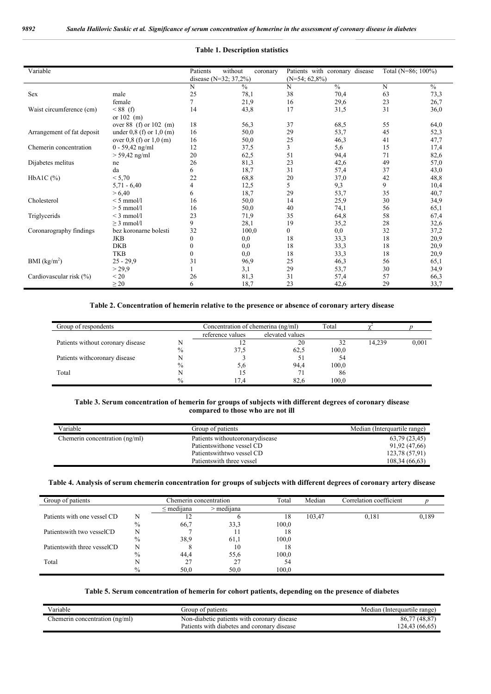#### **Table 1. Description statistics**

| Variable                   |                              | Patients     | without<br>coronary     |                  | Patients with coronary disease | Total (N=86; 100%) |               |
|----------------------------|------------------------------|--------------|-------------------------|------------------|--------------------------------|--------------------|---------------|
|                            |                              |              | disease $(N=32; 37,2%)$ | $(N=54; 62,8\%)$ |                                |                    |               |
|                            |                              | N            | $\frac{0}{0}$           | N                | $\frac{0}{6}$                  | N                  | $\frac{0}{0}$ |
| Sex                        | male                         | 25           | 78,1                    | 38               | 70,4                           | 63                 | 73,3          |
|                            | female                       | 7            | 21,9                    | 16               | 29,6                           | 23                 | 26,7          |
| Waist circumference (cm)   | $< 88$ (f)                   | 14           | 43,8                    | 17               | 31,5                           | 31                 | 36,0          |
|                            | or $102$ (m)                 |              |                         |                  |                                |                    |               |
|                            | over 88 (f) or $102$ (m)     | 18           | 56,3                    | 37               | 68,5                           | 55                 | 64,0          |
| Arrangement of fat deposit | under $0.8$ (f) or $1.0$ (m) | 16           | 50,0                    | 29               | 53,7                           | 45                 | 52,3          |
|                            | over 0,8 (f) or 1,0 (m)      | 16           | 50,0                    | 25               | 46,3                           | 41                 | 47,7          |
| Chemerin concentration     | $0 - 59,42$ ng/ml            | 12           | 37,5                    | 3                | 5,6                            | 15                 | 17,4          |
|                            | $> 59,42$ ng/ml              | 20           | 62,5                    | 51               | 94,4                           | 71                 | 82,6          |
| Dijabetes melitus          | ne                           | 26           | 81,3                    | 23               | 42,6                           | 49                 | 57,0          |
|                            | da                           | 6            | 18,7                    | 31               | 57,4                           | 37                 | 43,0          |
| $HbA1C$ $(\% )$            | < 5,70                       | 22           | 68,8                    | 20               | 37,0                           | 42                 | 48,8          |
|                            | $5,71 - 6,40$                | 4            | 12,5                    | 5                | 9,3                            | 9                  | 10,4          |
|                            | > 6,40                       | 6            | 18,7                    | 29               | 53,7                           | 35                 | 40,7          |
| Cholesterol                | $< 5$ mmol/l                 | 16           | 50,0                    | 14               | 25,9                           | 30                 | 34,9          |
|                            | $> 5$ mmol/l                 | 16           | 50,0                    | 40               | 74,1                           | 56                 | 65,1          |
| Triglycerids               | $<$ 3 mmol/l                 | 23           | 71,9                    | 35               | 64,8                           | 58                 | 67,4          |
|                            | $>$ 3 mmol/l                 | 9            | 28,1                    | 19               | 35,2                           | 28                 | 32,6          |
| Coronarography findings    | bez koronarne bolesti        | 32           | 100,0                   | $\boldsymbol{0}$ | 0,0                            | 32                 | 37,2          |
|                            | <b>JKB</b>                   | $\mathbf{0}$ | 0,0                     | 18               | 33,3                           | 18                 | 20,9          |
|                            | <b>DKB</b>                   | $\theta$     | 0,0                     | 18               | 33,3                           | 18                 | 20,9          |
|                            | <b>TKB</b>                   | $\mathbf{0}$ | 0,0                     | 18               | 33,3                           | 18                 | 20,9          |
| BMI (kg/m <sup>2</sup> )   | $25 - 29.9$                  | 31           | 96,9                    | 25               | 46,3                           | 56                 | 65,1          |
|                            | > 29.9                       |              | 3,1                     | 29               | 53,7                           | 30                 | 34,9          |
| Cardiovascular risk (%)    | < 20                         | 26           | 81,3                    | 31               | 57,4                           | 57                 | 66,3          |
|                            | $\geq 20$                    | 6            | 18,7                    | 23               | 42,6                           | 29                 | 33,7          |

#### **Table 2. Concentration of hemerin relative to the presence or absence of coronary artery disease**

| Group of respondents              | Concentration of chemerina (ng/ml) |                  | Total           |       |        |       |
|-----------------------------------|------------------------------------|------------------|-----------------|-------|--------|-------|
|                                   |                                    | reference values | elevated values |       |        |       |
| Patients without coronary disease |                                    |                  | 20              |       | 14,239 | 0,001 |
|                                   | $\%$                               | 37,5             | 62,5            | 100,0 |        |       |
| Patients with coronary disease    |                                    |                  |                 | 54    |        |       |
|                                   | $\%$                               | 5.6              | 94.4            | 100.0 |        |       |
| Total                             |                                    |                  |                 | 86    |        |       |
|                                   | $\%$                               |                  | 82.6            | 100.0 |        |       |

#### **Table 3. Serum concentration of hemerin for groups of subjects with different degrees of coronary disease compared to those who are not ill**

| Variable                       | Group of patients                | Median (Interquartile range) |
|--------------------------------|----------------------------------|------------------------------|
| Chemerin concentration (ng/ml) | Patients withoutcoronary disease | 63,79 (23,45)                |
|                                | Patients with one vessel CD      | 91,92 (47,66)                |
|                                | Patients with two vessel CD      | 123,78 (57,91)               |
|                                | Patients with three vessel       | 108,34 (66,63)               |

#### **Table 4. Analysis of serum chemerin concentration for groups of subjects with different degrees of coronary artery disease**

| Group of patients             | Chemerin concentration |                 |              | Total | Median | Correlation coefficient |       |
|-------------------------------|------------------------|-----------------|--------------|-------|--------|-------------------------|-------|
|                               |                        | $\leq$ medijana | $>$ mediiana |       |        |                         |       |
| Patients with one vessel CD   | N                      |                 |              | 18    | 103,47 | 0.181                   | 0,189 |
|                               | $\%$                   | 66,7            | 33,3         | 100,0 |        |                         |       |
| Patients with two vessel CD   | N                      |                 | 11           | 18    |        |                         |       |
|                               | $\%$                   | 38,9            | 61,1         | 100,0 |        |                         |       |
| Patients with three vessel CD | N                      |                 | 10           | 18    |        |                         |       |
|                               | $\%$                   | 44.4            | 55,6         | 100.0 |        |                         |       |
| Total                         |                        | 27              | 27           | 54    |        |                         |       |
|                               | $\%$                   | 50,0            | 50.0         | 100.0 |        |                         |       |

#### **Table 5. Serum concentration of hemerin for cohort patients, depending on the presence of diabetes**

| .<br>/arıable                 | Group of patients                           | Median (Interquartile range) |
|-------------------------------|---------------------------------------------|------------------------------|
| hemerin concentration (ng/ml) | Non-diabetic patients with coronary disease | (48.87)<br>86,77             |
|                               | Patients with diabetes and coronary disease | 124,43(66,65)                |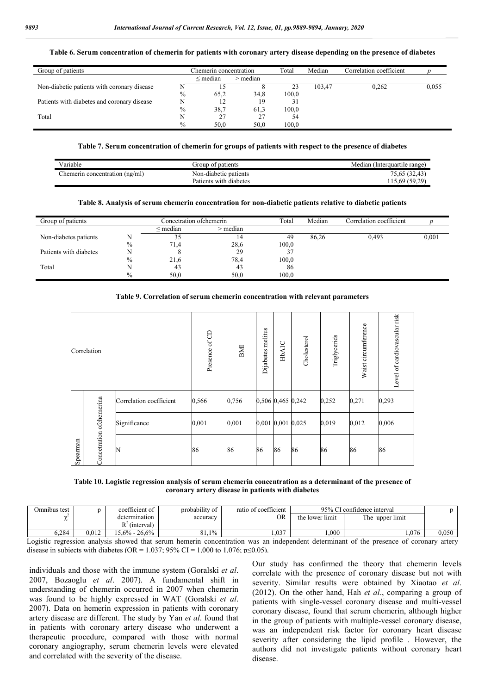#### **Table 6. Serum concentration of chemerin for patients with coronary artery disease depending on the presence of diabetes**

| Group of patients                           |      | Chemerin concentration |            | Total | Median | Correlation coefficient |       |
|---------------------------------------------|------|------------------------|------------|-------|--------|-------------------------|-------|
|                                             |      | $\leq$ median          | $>$ median |       |        |                         |       |
| Non-diabetic patients with coronary disease |      |                        |            | 23    | 103.47 | 0.262                   | 0,055 |
|                                             | $\%$ | 65,2                   | 34,8       | 100,0 |        |                         |       |
| Patients with diabetes and coronary disease |      |                        | 19         | 31    |        |                         |       |
|                                             | $\%$ | 38,7                   | 61.3       | 100,0 |        |                         |       |
| Total                                       | N    | 27                     | 27         | 54    |        |                         |       |
|                                             | $\%$ | 50.0                   | 50.0       | 100.0 |        |                         |       |

#### **Table 7. Serum concentration of chemerin for groups of patients with respect to the presence of diabetes**

| Variable                      | Group of patients      | Median (Interquartile range) |
|-------------------------------|------------------------|------------------------------|
| hemerin concentration (ng/ml) | Non-diabetic patients  | 75,65 (32,43)                |
|                               | Patients with diabetes | 15,69(59,29)                 |

#### **Table 8. Analysis of serum chemerin concentration for non-diabetic patients relative to diabetic patients**

| Group of patients      |               | Concetration ofchemerin |            | Total | Median | Correlation coefficient |       |
|------------------------|---------------|-------------------------|------------|-------|--------|-------------------------|-------|
|                        |               | $\leq$ median           | $>$ median |       |        |                         |       |
| Non-diabetes patients  | N             | 35                      | 14         | 49    | 86,26  | 0.493                   | 0,001 |
|                        | $\%$          | 71.4                    | 28,6       | 100,0 |        |                         |       |
| Patients with diabetes |               |                         | 29         |       |        |                         |       |
|                        | $\%$          | 21,6                    | 78,4       | 100,0 |        |                         |       |
| Total                  |               | 43                      | 43         | 86    |        |                         |       |
|                        | $\frac{0}{0}$ | 50.0                    | 50,0       | 100.0 |        |                         |       |

#### **Table 9. Correlation of serum chemerin concentration with relevant parameters**

| Correlation |                           | Presence of CD          | BMI   | Dijabetes melitus | HbAIC             | Cholesterol | Triglycerids | Waist circumference | Level of cardiovascular risk |       |
|-------------|---------------------------|-------------------------|-------|-------------------|-------------------|-------------|--------------|---------------------|------------------------------|-------|
|             | Concetration of chemerina | Correlation coefficient | 0,566 | 0,756             | 0,506 0,465 0,242 |             |              | 0,252               | 0,271                        | 0,293 |
| Spearman    |                           | Significance            | 0,001 | 0,001             | 0,001 0,001 0,025 |             |              | 0,019               | 0,012                        | 0,006 |
|             |                           | N                       | 86    | 86                | 86                | 86          | 86           | 86                  | 86                           | 86    |

**Table 10. Logistic regression analysis of serum chemerin concentration as a determinant of the presence of coronary artery disease in patients with diabetes**

| Omnibus test |       | coefficient of    | probability of | ratio of coefficient | 95% CI confidence interval |                 |       |
|--------------|-------|-------------------|----------------|----------------------|----------------------------|-----------------|-------|
| $\sim$       |       | determination     | accuracy       | OR                   | the lower limit            | The upper limit |       |
|              |       | n2<br>(interval)  |                |                      |                            |                 |       |
| .284         | 0.012 | $15.6\% - 26.6\%$ | 81.1%          | 1,037                | 1.000                      | 1.076           | 0,050 |

Logistic regression analysis showed that serum hemerin concentration was an independent determinant of the presence of coronary artery disease in subjects with diabetes (OR = 1.037; 95% CI = 1,000 to 1,076; p≤0.05).

individuals and those with the immune system (Goralski *et al*. 2007, Bozaoglu *et al*. 2007). A fundamental shift in understanding of chemerin occurred in 2007 when chemerin was found to be highly expressed in WAT (Goralski *et al*. 2007). Data on hemerin expression in patients with coronary artery disease are different. The study by Yan *et al*. found that in patients with coronary artery disease who underwent a therapeutic procedure, compared with those with normal coronary angiography, serum chemerin levels were elevated and correlated with the severity of the disease.

Our study has confirmed the theory that chemerin levels correlate with the presence of coronary disease but not with severity. Similar results were obtained by Xiaotao *et al*. (2012). On the other hand, Hah *et al*., comparing a group of patients with single-vessel coronary disease and multi-vessel coronary disease, found that serum chemerin, although higher in the group of patients with multiple-vessel coronary disease, was an independent risk factor for coronary heart disease severity after considering the lipid profile . However, the authors did not investigate patients without coronary heart disease.